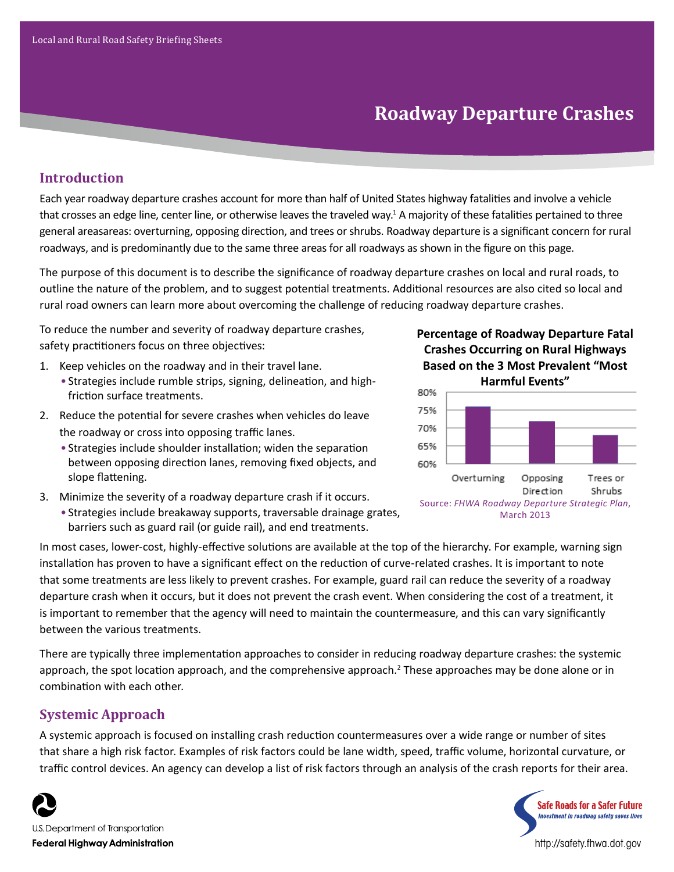# **Roadway Departure Crashes**

## **Introduction**

Each year roadway departure crashes account for more than half of United States highway fatalities and involve a vehicle that crosses an edge line, center line, or otherwise leaves the traveled way.<sup>1</sup> A majority of these fatalities pertained to three general areasareas: overturning, opposing direction, and trees or shrubs. Roadway departure is a significant concern for rural roadways, and is predominantly due to the same three areas for all roadways as shown in the figure on this page.

The purpose of this document is to describe the significance of roadway departure crashes on local and rural roads, to outline the nature of the problem, and to suggest potential treatments. Additional resources are also cited so local and rural road owners can learn more about overcoming the challenge of reducing roadway departure crashes.

To reduce the number and severity of roadway departure crashes, safety practitioners focus on three objectives:

- 1. Keep vehicles on the roadway and in their travel lane.
	- Strategies include rumble strips, signing, delineation, and highfriction surface treatments.
- 2. Reduce the potential for severe crashes when vehicles do leave the roadway or cross into opposing traffic lanes.
	- Strategies include shoulder installation; widen the separation between opposing direction lanes, removing fixed objects, and slope flattening.
- 3. Minimize the severity of a roadway departure crash if it occurs.
	- Strategies include breakaway supports, traversable drainage grates, barriers such as guard rail (or guide rail), and end treatments.





In most cases, lower-cost, highly-effective solutions are available at the top of the hierarchy. For example, warning sign installation has proven to have a significant effect on the reduction of curve-related crashes. It is important to note that some treatments are less likely to prevent crashes. For example, guard rail can reduce the severity of a roadway departure crash when it occurs, but it does not prevent the crash event. When considering the cost of a treatment, it is important to remember that the agency will need to maintain the countermeasure, and this can vary significantly between the various treatments.

There are typically three implementation approaches to consider in reducing roadway departure crashes: the systemic approach, the spot location approach, and the comprehensive approach.<sup>2</sup> These approaches may be done alone or in combination with each other.

## **Systemic Approach**

A systemic approach is focused on installing crash reduction countermeasures over a wide range or number of sites that share a high risk factor. Examples of risk factors could be lane width, speed, traffic volume, horizontal curvature, or traffic control devices. An agency can develop a list of risk factors through an analysis of the crash reports for their area.



U.S. Department of Transportation **Federal Highway Administration** 



http://safety.fhwa.dot.gov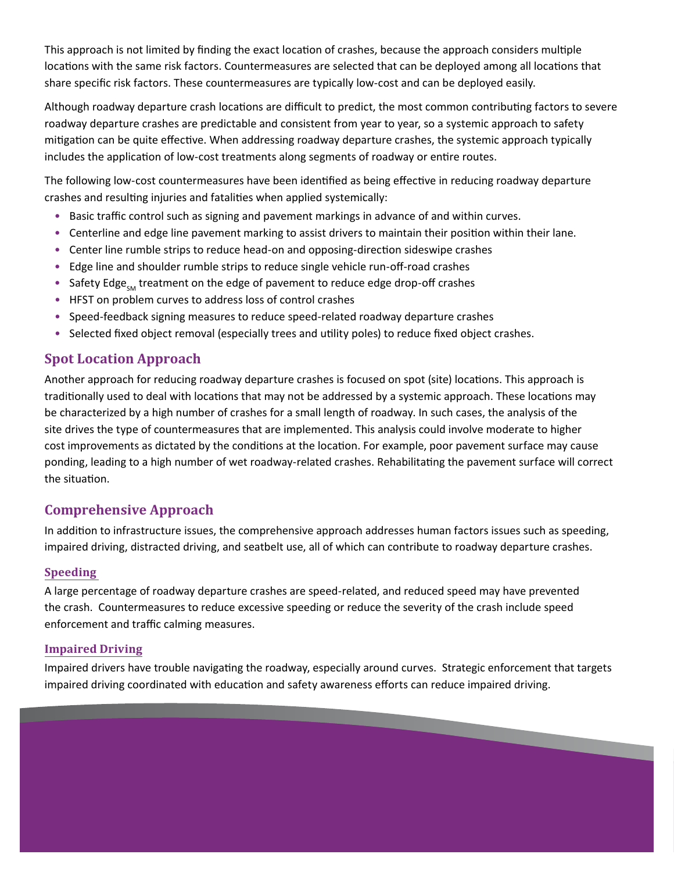This approach is not limited by finding the exact location of crashes, because the approach considers multiple locations with the same risk factors. Countermeasures are selected that can be deployed among all locations that share specific risk factors. These countermeasures are typically low-cost and can be deployed easily.

Although roadway departure crash locations are difficult to predict, the most common contributing factors to severe roadway departure crashes are predictable and consistent from year to year, so a systemic approach to safety mitigation can be quite effective. When addressing roadway departure crashes, the systemic approach typically includes the application of low-cost treatments along segments of roadway or entire routes.

The following low-cost countermeasures have been identified as being effective in reducing roadway departure crashes and resulting injuries and fatalities when applied systemically:

- Basic traffic control such as signing and pavement markings in advance of and within curves.
- Centerline and edge line pavement marking to assist drivers to maintain their position within their lane.
- Center line rumble strips to reduce head-on and opposing-direction sideswipe crashes
- Edge line and shoulder rumble strips to reduce single vehicle run-off-road crashes
- Safety Edge<sub>SM</sub> treatment on the edge of pavement to reduce edge drop-off crashes
- HFST on problem curves to address loss of control crashes
- Speed-feedback signing measures to reduce speed-related roadway departure crashes
- Selected fixed object removal (especially trees and utility poles) to reduce fixed object crashes.

## **Spot Location Approach**

Another approach for reducing roadway departure crashes is focused on spot (site) locations. This approach is traditionally used to deal with locations that may not be addressed by a systemic approach. These locations may be characterized by a high number of crashes for a small length of roadway. In such cases, the analysis of the site drives the type of countermeasures that are implemented. This analysis could involve moderate to higher cost improvements as dictated by the conditions at the location. For example, poor pavement surface may cause ponding, leading to a high number of wet roadway-related crashes. Rehabilitating the pavement surface will correct the situation.

## **Comprehensive Approach**

In addition to infrastructure issues, the comprehensive approach addresses human factors issues such as speeding, impaired driving, distracted driving, and seatbelt use, all of which can contribute to roadway departure crashes.

#### **Speeding**

A large percentage of roadway departure crashes are speed-related, and reduced speed may have prevented the crash. Countermeasures to reduce excessive speeding or reduce the severity of the crash include speed enforcement and traffic calming measures.

#### **Impaired Driving**

Impaired drivers have trouble navigating the roadway, especially around curves. Strategic enforcement that targets impaired driving coordinated with education and safety awareness efforts can reduce impaired driving.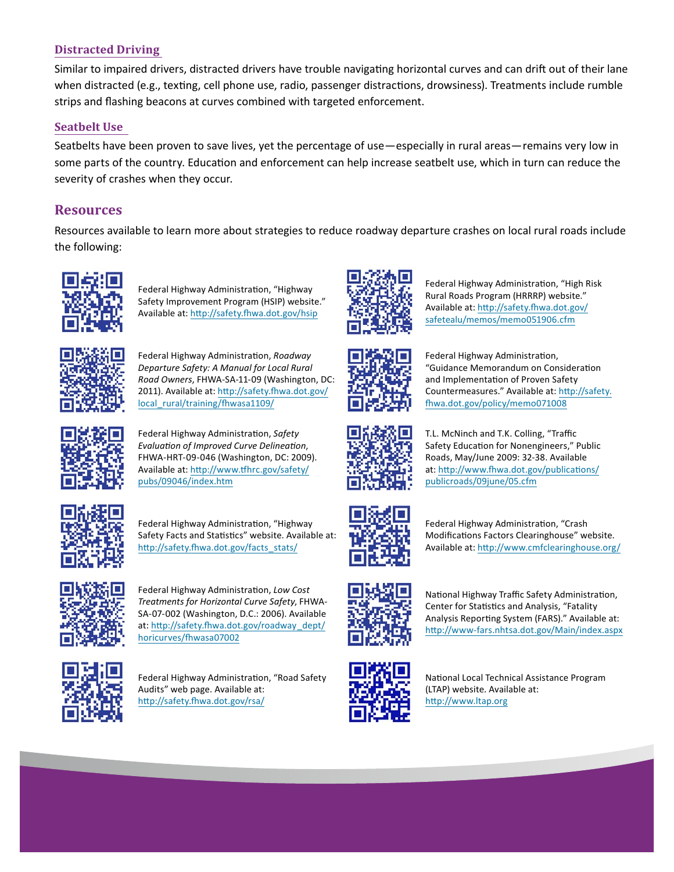#### **Distracted Driving**

Similar to impaired drivers, distracted drivers have trouble navigating horizontal curves and can drift out of their lane when distracted (e.g., texting, cell phone use, radio, passenger distractions, drowsiness). Treatments include rumble strips and flashing beacons at curves combined with targeted enforcement.

#### **Seatbelt Use**

Seatbelts have been proven to save lives, yet the percentage of use—especially in rural areas—remains very low in some parts of the country. Education and enforcement can help increase seatbelt use, which in turn can reduce the severity of crashes when they occur.

### **Resources**

Resources available to learn more about strategies to reduce roadway departure crashes on local rural roads include the following:



Federal Highway Administration, "Highway Safety Improvement Program (HSIP) website." Available at: http://safety.fhwa.dot.gov/hsip



Federal Highway Administration, *Roadway Departure Safety: A Manual for Local Rural Road Owners*, FHWA-SA-11-09 (Washington, DC: [2011\). Available at: http://safety.fhwa.dot.gov/](http://safety.fhwa.dot.gov/local_rural/training/fhwasa1109/) local\_rural/training/fhwasa1109/



Federal Highway Administration, *Safety Evaluation of Improved Curve Delineation*, FHWA-HRT-09-046 (Washington, DC: 2009). [Available at: http://www.tfhrc.gov/safety/](http://www.tfhrc.gov/safety/ pubs/09046/index.htm) pubs/09046/index.htm



Federal Highway Administration, "Highway Safety Facts and Statistics" website. Available at: http://safety.fhwa.dot.gov/facts\_stats/



Federal Highway Administration, *Low Cost Treatments for Horizontal Curve Safety*, FHWA-SA-07-002 (Washington, D.C.: 2006). Available at: [http://safety.fhwa.dot.gov/roadway\\_dept/](http://safety.fhwa.dot.gov/roadway _dept/ horicurves/fhwasa07002) horicurves/fhwasa07002



Federal Highway Administration, "Road Safety Audits" web page. Available at: http://safety.fhwa.dot.gov/rsa/



Federal Highway Administration, "High Risk Rural Roads Program (HRRRP) website." [Available at: http://safety.fhwa.dot.gov/](http://safety.fhwa.dot.gov/safetealu/memos/memo051906.cfm) safetealu/memos/memo051906.cfm



Federal Highway Administration, "Guidance Memorandum on Consideration and Implementation of Proven Safety [Countermeasures." Available at: http://safety.](http://safety.fhwa.dot.gov/policy/memo071008) fhwa.dot.gov/policy/memo071008

T.L. McNinch and T.K. Colling, "Traffic Safety Education for Nonengineers," Public Roads, May/June 2009: 32-38. Available at: [http://www.fhwa.dot.gov/publications/](http://www.fhwa.dot.gov/publications/publicroads/09june/05.cfm) publicroads/09june/05.cfm



Federal Highway Administration, "Crash Modifications Factors Clearinghouse" website. Available at: http://www.cmfclearinghouse.org/



National Highway Traffic Safety Administration, Center for Statistics and Analysis, "Fatality Analysis Reporting System (FARS)." Available at: http://www-fars.nhtsa.dot.gov/Main/index.aspx



National Local Technical Assistance Program (LTAP) website. Available at: http://www.ltap.org